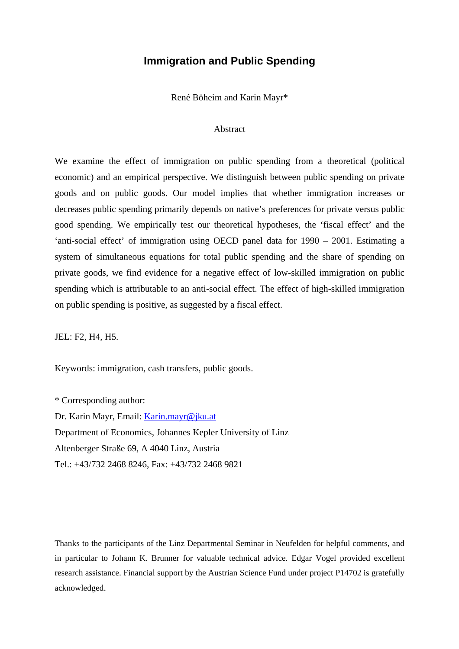#### **Immigration and Public Spending**

René Böheim and Karin Mayr\*

#### Abstract

We examine the effect of immigration on public spending from a theoretical (political economic) and an empirical perspective. We distinguish between public spending on private goods and on public goods. Our model implies that whether immigration increases or decreases public spending primarily depends on native's preferences for private versus public good spending. We empirically test our theoretical hypotheses, the 'fiscal effect' and the 'anti-social effect' of immigration using OECD panel data for 1990 – 2001. Estimating a system of simultaneous equations for total public spending and the share of spending on private goods, we find evidence for a negative effect of low-skilled immigration on public spending which is attributable to an anti-social effect. The effect of high-skilled immigration on public spending is positive, as suggested by a fiscal effect.

JEL: F2, H4, H5.

Keywords: immigration, cash transfers, public goods.

\* Corresponding author: Dr. Karin Mayr, Email: [Karin.mayr@jku.at](mailto:Karin.mayr@jku.at) Department of Economics, Johannes Kepler University of Linz Altenberger Straße 69, A 4040 Linz, Austria Tel.: +43/732 2468 8246, Fax: +43/732 2468 9821

Thanks to the participants of the Linz Departmental Seminar in Neufelden for helpful comments, and in particular to Johann K. Brunner for valuable technical advice. Edgar Vogel provided excellent research assistance. Financial support by the Austrian Science Fund under project P14702 is gratefully acknowledged.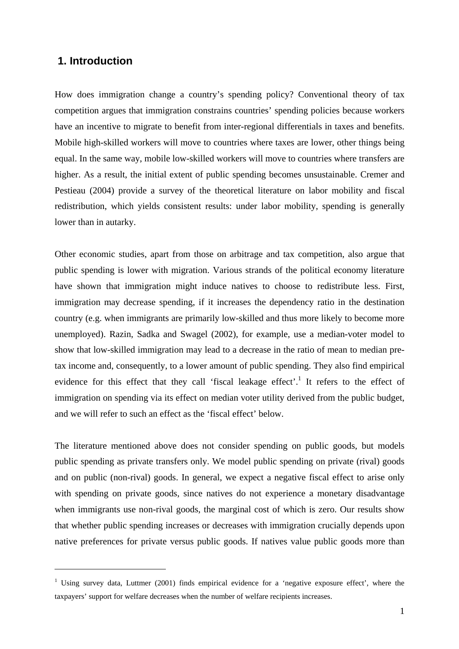### **1. Introduction**

 $\overline{a}$ 

How does immigration change a country's spending policy? Conventional theory of tax competition argues that immigration constrains countries' spending policies because workers have an incentive to migrate to benefit from inter-regional differentials in taxes and benefits. Mobile high-skilled workers will move to countries where taxes are lower, other things being equal. In the same way, mobile low-skilled workers will move to countries where transfers are higher. As a result, the initial extent of public spending becomes unsustainable. Cremer and Pestieau (2004) provide a survey of the theoretical literature on labor mobility and fiscal redistribution, which yields consistent results: under labor mobility, spending is generally lower than in autarky.

Other economic studies, apart from those on arbitrage and tax competition, also argue that public spending is lower with migration. Various strands of the political economy literature have shown that immigration might induce natives to choose to redistribute less. First, immigration may decrease spending, if it increases the dependency ratio in the destination country (e.g. when immigrants are primarily low-skilled and thus more likely to become more unemployed). Razin, Sadka and Swagel (2002), for example, use a median-voter model to show that low-skilled immigration may lead to a decrease in the ratio of mean to median pretax income and, consequently, to a lower amount of public spending. They also find empirical evidence for this effect that they call 'fiscal leakage effect'.<sup>[1](#page-1-0)</sup> It refers to the effect of immigration on spending via its effect on median voter utility derived from the public budget, and we will refer to such an effect as the 'fiscal effect' below.

The literature mentioned above does not consider spending on public goods, but models public spending as private transfers only. We model public spending on private (rival) goods and on public (non-rival) goods. In general, we expect a negative fiscal effect to arise only with spending on private goods, since natives do not experience a monetary disadvantage when immigrants use non-rival goods, the marginal cost of which is zero. Our results show that whether public spending increases or decreases with immigration crucially depends upon native preferences for private versus public goods. If natives value public goods more than

<span id="page-1-0"></span><sup>&</sup>lt;sup>1</sup> Using survey data, Luttmer (2001) finds empirical evidence for a 'negative exposure effect', where the taxpayers' support for welfare decreases when the number of welfare recipients increases.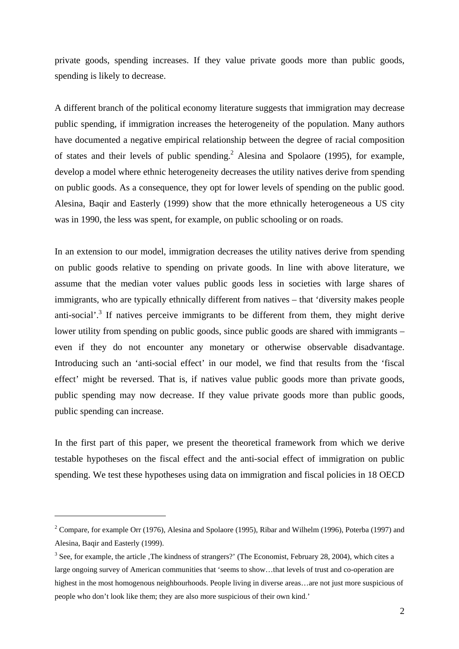private goods, spending increases. If they value private goods more than public goods, spending is likely to decrease.

A different branch of the political economy literature suggests that immigration may decrease public spending, if immigration increases the heterogeneity of the population. Many authors have documented a negative empirical relationship between the degree of racial composition of states and their levels of public spending.<sup>[2](#page-2-0)</sup> Alesina and Spolaore (1995), for example, develop a model where ethnic heterogeneity decreases the utility natives derive from spending on public goods. As a consequence, they opt for lower levels of spending on the public good. Alesina, Baqir and Easterly (1999) show that the more ethnically heterogeneous a US city was in 1990, the less was spent, for example, on public schooling or on roads.

In an extension to our model, immigration decreases the utility natives derive from spending on public goods relative to spending on private goods. In line with above literature, we assume that the median voter values public goods less in societies with large shares of immigrants, who are typically ethnically different from natives – that 'diversity makes people anti-social'.<sup>[3](#page-2-1)</sup> If natives perceive immigrants to be different from them, they might derive lower utility from spending on public goods, since public goods are shared with immigrants – even if they do not encounter any monetary or otherwise observable disadvantage. Introducing such an 'anti-social effect' in our model, we find that results from the 'fiscal effect' might be reversed. That is, if natives value public goods more than private goods, public spending may now decrease. If they value private goods more than public goods, public spending can increase.

In the first part of this paper, we present the theoretical framework from which we derive testable hypotheses on the fiscal effect and the anti-social effect of immigration on public spending. We test these hypotheses using data on immigration and fiscal policies in 18 OECD

 $\overline{a}$ 

<span id="page-2-0"></span><sup>&</sup>lt;sup>2</sup> Compare, for example Orr (1976), Alesina and Spolaore (1995), Ribar and Wilhelm (1996), Poterba (1997) and Alesina, Baqir and Easterly (1999).

<span id="page-2-1"></span> $3$  See, for example, the article , The kindness of strangers?' (The Economist, February 28, 2004), which cites a large ongoing survey of American communities that 'seems to show…that levels of trust and co-operation are highest in the most homogenous neighbourhoods. People living in diverse areas...are not just more suspicious of people who don't look like them; they are also more suspicious of their own kind.'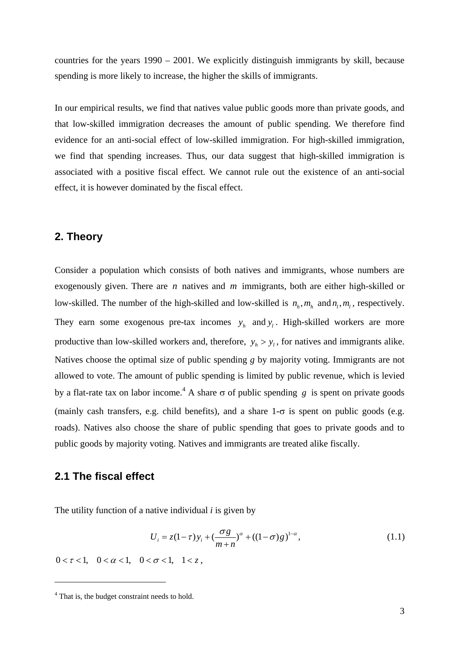countries for the years 1990 – 2001. We explicitly distinguish immigrants by skill, because spending is more likely to increase, the higher the skills of immigrants.

In our empirical results, we find that natives value public goods more than private goods, and that low-skilled immigration decreases the amount of public spending. We therefore find evidence for an anti-social effect of low-skilled immigration. For high-skilled immigration, we find that spending increases. Thus, our data suggest that high-skilled immigration is associated with a positive fiscal effect. We cannot rule out the existence of an anti-social effect, it is however dominated by the fiscal effect.

#### **2. Theory**

productive than low-skilled workers and, therefore,  $y_h > y_l$ , for natives and immigrants alike. Consider a population which consists of both natives and immigrants, whose numbers are exogenously given. There are  $n$  natives and  $m$  immigrants, both are either high-skilled or low-skilled. The number of the high-skilled and low-skilled is  $n_h, m_h$  and  $n_l, m_l$ , respectively. They earn some exogenous pre-tax incomes  $y_h$  and  $y_l$ . High-skilled workers are more Natives choose the optimal size of public spending *g* by majority voting. Immigrants are not allowed to vote. The amount of public spending is limited by public revenue, which is levied by a flat-rate tax on labor income.<sup>4</sup> [A](#page-3-0) share  $\sigma$  of public spending g is spent on private goods (mainly cash transfers, e.g. child benefits), and a share  $1-\sigma$  is spent on public goods (e.g. roads). Natives also choose the share of public spending that goes to private goods and to public goods by majority voting. Natives and immigrants are treated alike fiscally.

#### **2.1 The fiscal effect**

 $\overline{a}$ 

The utility function of a native individual *i* is given by

$$
U_i = z(1-\tau)y_i + \left(\frac{\sigma g}{m+n}\right)^{\alpha} + ((1-\sigma)g)^{1-\alpha},
$$
\n(1.1)

 $0 < \tau < 1, \quad 0 < \alpha < 1, \quad 0 < \sigma < 1, \quad 1 < z$ 

<span id="page-3-0"></span><sup>&</sup>lt;sup>4</sup> That is, the budget constraint needs to hold.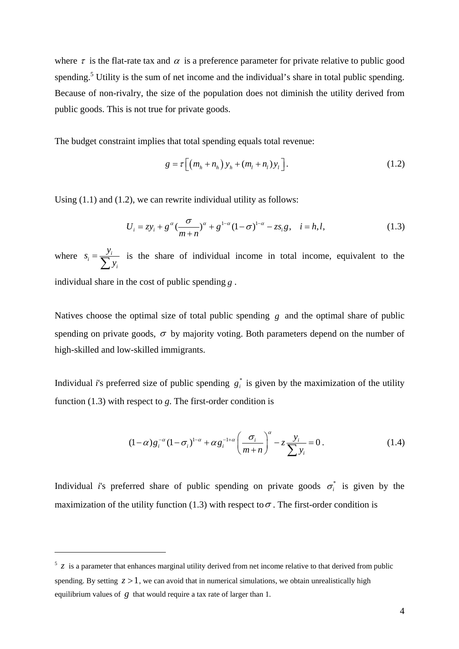where  $\tau$  is the flat-rate tax and  $\alpha$  is a preference parameter for private relative to public good spending.<sup>[5](#page-4-0)</sup> Utility is the sum of net income and the individual's share in total public spending. Because of non-rivalry, the size of the population does not diminish the utility derived from public goods. This is not true for private goods.

The budget constraint implies that total spending equals total revenue:

$$
g = \tau \left[ \left( m_h + n_h \right) y_h + \left( m_l + n_l \right) y_l \right]. \tag{1.2}
$$

Using  $(1.1)$  and  $(1.2)$ , we can rewrite individual utility as follows:

$$
U_i = z y_i + g^{\alpha} \left( \frac{\sigma}{m+n} \right)^{\alpha} + g^{1-\alpha} (1-\sigma)^{1-\alpha} - z s_i g, \quad i = h, l,
$$
 (1.3)

where  $s_i = \frac{y_i}{\sum_{i=1}^{i}}$ *i*  $s_i = \frac{y_i}{\sum y_i}$  is the share of individual income in total income, equivalent to the individual share in the cost of public spending *g* .

Natives choose the optimal size of total public spending  $g$  and the optimal share of public spending on private goods,  $\sigma$  by majority voting. Both parameters depend on the number of high-skilled and low-skilled immigrants.

Individual *i*'s preferred size of public spending  $g_i^*$  is given by the maximization of the utility function (1.3) with respect to *g*. The first-order condition is

$$
(1 - \alpha) g_i^{-\alpha} (1 - \sigma_i)^{1 - \alpha} + \alpha g_i^{-1 + \alpha} \left( \frac{\sigma_i}{m + n} \right)^{\alpha} - z \frac{y_i}{\sum y_i} = 0.
$$
 (1.4)

Individual *i*'s preferred share of public spending on private goods  $\sigma_i^*$  is given by the maximization of the utility function (1.3) with respect to  $\sigma$ . The first-order condition is

 $\overline{a}$ 

<span id="page-4-0"></span> $\frac{5}{2}$  is a parameter that enhances marginal utility derived from net income relative to that derived from public spending. By setting  $z > 1$ , we can avoid that in numerical simulations, we obtain unrealistically high equilibrium values of  $g$  that would require a tax rate of larger than 1.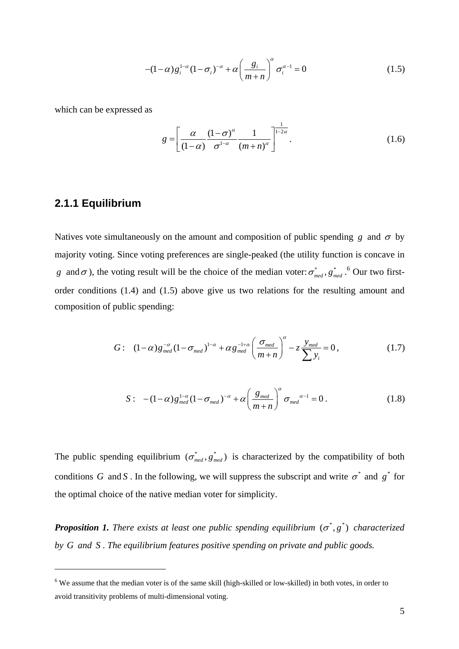$$
-(1-\alpha)g_i^{1-\alpha}(1-\sigma_i)^{-\alpha} + \alpha \left(\frac{g_i}{m+n}\right)^{\alpha} \sigma_i^{\alpha-1} = 0 \qquad (1.5)
$$

which can be expressed as

$$
g = \left[ \frac{\alpha}{(1-\alpha)} \frac{(1-\sigma)^{\alpha}}{\sigma^{1-\alpha}} \frac{1}{(m+n)^{\alpha}} \right]^{1-2\alpha} .
$$
 (1.6)

## **2.1.1 Equilibrium**

 $\overline{a}$ 

Natives vote simultaneously on the amount and composition of public spending *g* and  $\sigma$  by majority voting. Since voting preferences are single-peaked (the utility function is concave in *g* and  $\sigma$ ), the voting result will be the choice of the median voter:  $\sigma_{med}^*$ ,  $g_{med}^*$ ,  $\sigma_{med}^*$ ,  $\sigma_{med}^*$ order conditions (1.4) and (1.5) above give us two relations for the resulting amount and composition of public spending:

$$
G: (1-\alpha)g_{med}^{-\alpha}(1-\sigma_{med})^{1-\alpha} + \alpha g_{med}^{-1+\alpha}\left(\frac{\sigma_{med}}{m+n}\right)^{\alpha} - z\frac{y_{med}}{\sum y_i} = 0, \qquad (1.7)
$$

$$
S: \quad -(1-\alpha)g_{med}^{1-\alpha}(1-\sigma_{med})^{-\alpha} + \alpha \left(\frac{g_{med}}{m+n}\right)^{\alpha} \sigma_{med}^{\alpha-1} = 0 \,.
$$

The public spending equilibrium  $(\sigma_{med}^*, g_{med}^*)$  is characterized by the compatibility of both conditions G and S. In the following, we will suppress the subscript and write  $\sigma^*$  and  $g^*$  for the optimal choice of the native median voter for simplicity.

**Proposition 1.** There exists at least one public spending equilibrium  $(\sigma^*, g^*)$  characterized by G and S. The equilibrium features positive spending on private and public goods.

<span id="page-5-0"></span><sup>&</sup>lt;sup>6</sup> We assume that the median voter is of the same skill (high-skilled or low-skilled) in both votes, in order to avoid transitivity problems of multi-dimensional voting.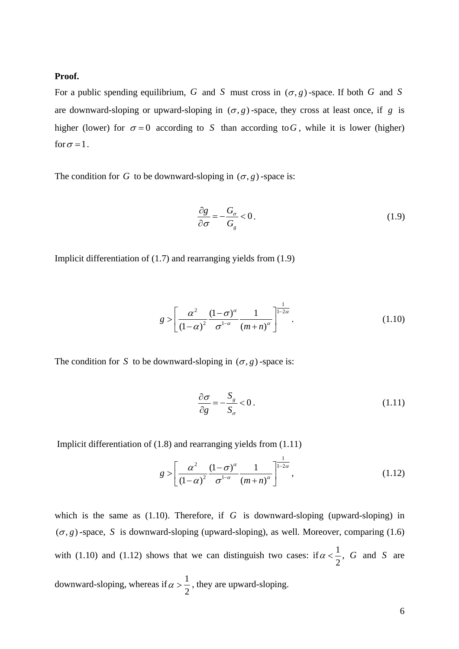#### **Proof.**

For a public spending equilibrium, G and S must cross in  $(\sigma, g)$ -space. If both G and S are downward-sloping or upward-sloping in  $(\sigma, g)$ -space, they cross at least once, if g is higher (lower) for  $\sigma = 0$  according to S than according to G, while it is lower (higher) for  $\sigma$  = 1.

The condition for *G* to be downward-sloping in  $(\sigma, g)$ -space is:

$$
\frac{\partial g}{\partial \sigma} = -\frac{G_{\sigma}}{G_{g}} < 0. \tag{1.9}
$$

Implicit differentiation of (1.7) and rearranging yields from (1.9)

$$
g > \left[\frac{\alpha^2}{\left(1-\alpha\right)^2} \frac{\left(1-\sigma\right)^{\alpha}}{\sigma^{1-\alpha}} \frac{1}{\left(m+n\right)^{\alpha}}\right]^{\frac{1}{1-2\alpha}}.\tag{1.10}
$$

The condition for *S* to be downward-sloping in  $(\sigma, g)$ -space is:

$$
\frac{\partial \sigma}{\partial g} = -\frac{S_g}{S_\sigma} < 0. \tag{1.11}
$$

Implicit differentiation of (1.8) and rearranging yields from (1.11)

$$
g > \left[ \frac{\alpha^2}{\left(1 - \alpha\right)^2} \frac{\left(1 - \sigma\right)^{\alpha}}{\sigma^{1 - \alpha}} \frac{1}{\left(m + n\right)^{\alpha}} \right]^{1 - 2\alpha},\tag{1.12}
$$

which is the same as (1.10). Therefore, if *G* is downward-sloping (upward-sloping) in  $(\sigma, g)$ -space, S is downward-sloping (upward-sloping), as well. Moreover, comparing (1.6) with (1.10) and (1.12) shows that we can distinguish two cases: if  $\alpha < \frac{1}{2}$ 2  $\alpha < \frac{1}{\epsilon}$ , G and S are downward-sloping, whereas if  $\alpha > \frac{1}{2}$ 2  $\alpha > \frac{1}{2}$ , they are upward-sloping.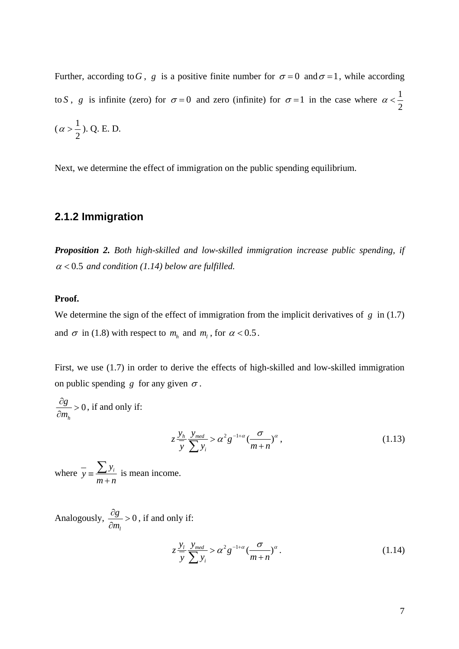Further, according to G, g is a positive finite number for  $\sigma = 0$  and  $\sigma = 1$ , while according to *S*, *g* is infinite (zero) for  $\sigma = 0$  and zero (infinite) for  $\sigma = 1$  in the case where  $\alpha < \frac{1}{2}$ 2  $\alpha <$  $(\alpha > \frac{1}{2})$ 2  $\alpha > \frac{1}{2}$ ). Q. E. D.

Next, we determine the effect of immigration on the public spending equilibrium.

## **2.1.2 Immigration**

*Proposition 2. Both high-skilled and low-skilled immigration increase public spending, if*   $\alpha$  < 0.5 and condition (1.14) below are fulfilled.

#### **Proof.**

We determine the sign of the effect of immigration from the implicit derivatives of *g* in (1.7) and  $\sigma$  in (1.8) with respect to  $m_h$  and  $m_l$ , for  $\alpha < 0.5$ .

First, we use (1.7) in order to derive the effects of high-skilled and low-skilled immigration on public spending *g* for any given  $\sigma$ .

0 *h g m*  $\frac{\partial g}{\partial m_h} > 0$ , if and only if:

$$
z \frac{y_h}{y} \frac{y_{med}}{\sum y_i} > \alpha^2 g^{-1+\alpha} \left(\frac{\sigma}{m+n}\right)^{\alpha}, \qquad (1.13)
$$

where  $\overline{y} = \frac{\sum y_i}{m+n}$  $\sum y_i$  is mean income.

Analogously,  $\frac{0.6}{2} > 0$ *l g m*  $\frac{\partial g}{\partial m_1}$  > 0, if and only if:

$$
z \frac{y_l}{y} \frac{y_{med}}{\sum y_i} > \alpha^2 g^{-1+\alpha} \left(\frac{\sigma}{m+n}\right)^{\alpha}.
$$
 (1.14)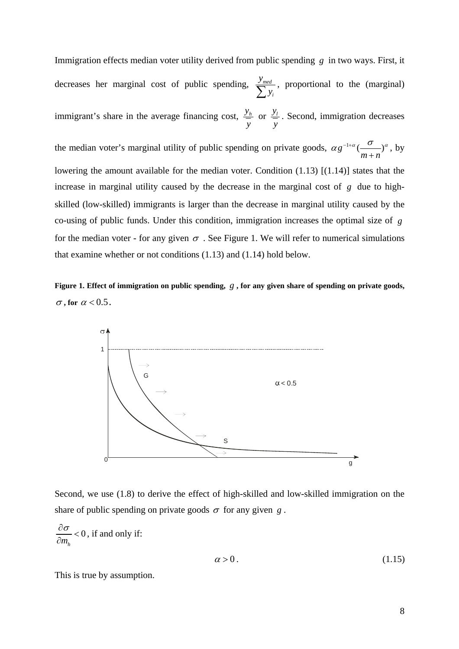Immigration effects median voter utility derived from public spending *g* in two ways. First, it decreases her marginal cost of public spending, *med i y*  $\sum_{i=1}^{y_{med}} y_i$ , proportional to the (marginal) immigrant's share in the average financing cost,  $\frac{y_h}{h}$ *y* or  $\frac{y_l}{q}$ *y* . Second, immigration decreases the median voter's marginal utility of public spending on private goods,  $\alpha g^{-1+\alpha}$  $m + n$  $\alpha g^{-1+\alpha} (\stackrel{\sigma}{-{\hspace{-2mm}}\rightharpoonup})^\alpha$ + , by lowering the amount available for the median voter. Condition (1.13) [(1.14)] states that the increase in marginal utility caused by the decrease in the marginal cost of  $g$  due to highskilled (low-skilled) immigrants is larger than the decrease in marginal utility caused by the co-using of public funds. Under this condition, immigration increases the optimal size of *g* for the median voter - for any given  $\sigma$ . See Figure 1. We will refer to numerical simulations that examine whether or not conditions (1.13) and (1.14) hold below.

**Figure 1. Effect of immigration on public spending,** *g* **, for any given share of spending on private goods,**  $\sigma$ , for  $\alpha$  < 0.5.





0 *mh*  $\frac{\partial \sigma}{\partial m_h}$  < 0, if and only if:

$$
\alpha > 0. \tag{1.15}
$$

This is true by assumption.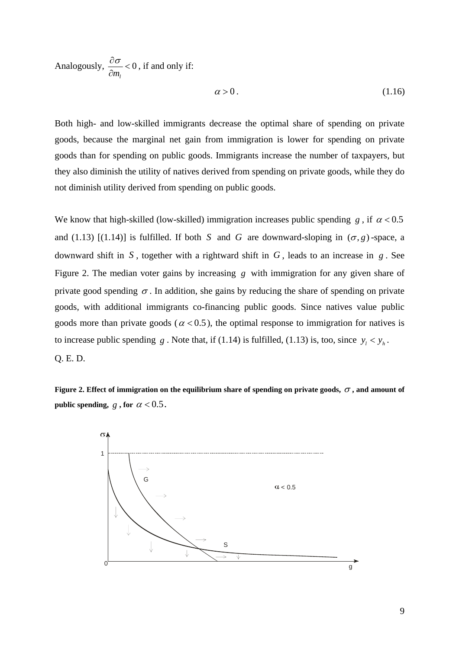Analogously,  $\frac{00}{2} < 0$ *ml*  $\frac{\partial \sigma}{\partial m_1}$  < 0, if and only if:

$$
\alpha > 0. \tag{1.16}
$$

Both high- and low-skilled immigrants decrease the optimal share of spending on private goods, because the marginal net gain from immigration is lower for spending on private goods than for spending on public goods. Immigrants increase the number of taxpayers, but they also diminish the utility of natives derived from spending on private goods, while they do not diminish utility derived from spending on public goods.

We know that high-skilled (low-skilled) immigration increases public spending *g*, if  $\alpha < 0.5$ and (1.13)  $[(1.14)]$  is fulfilled. If both *S* and *G* are downward-sloping in  $(\sigma, g)$ -space, a downward shift in  $S$ , together with a rightward shift in  $G$ , leads to an increase in  $g$ . See Figure 2. The median voter gains by increasing g with immigration for any given share of private good spending  $\sigma$ . In addition, she gains by reducing the share of spending on private goods, with additional immigrants co-financing public goods. Since natives value public goods more than private goods ( $\alpha$  < 0.5), the optimal response to immigration for natives is to increase public spending *g*. Note that, if (1.14) is fulfilled, (1.13) is, too, since  $y_i < y_h$ . Q. E. D.

**Figure 2. Effect of immigration on the equilibrium share of spending on private goods,** <sup>σ</sup> **, and amount of public spending,**  $g$ , for  $\alpha < 0.5$ .

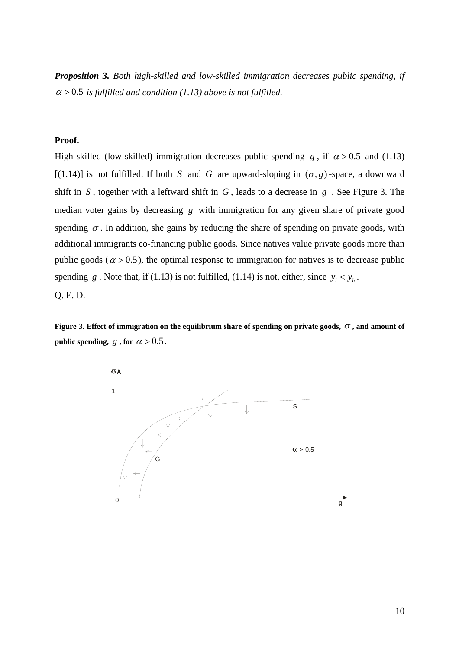*Proposition 3. Both high-skilled and low-skilled immigration decreases public spending, if*   $\alpha$  > 0.5 *is fulfilled and condition (1.13) above is not fulfilled.* 

#### **Proof.**

High-skilled (low-skilled) immigration decreases public spending *g*, if  $\alpha > 0.5$  and (1.13) [(1.14)] is not fulfilled. If both *S* and *G* are upward-sloping in  $(\sigma, g)$ -space, a downward shift in *S* , together with a leftward shift in *G* , leads to a decrease in *g* . See Figure 3. The median voter gains by decreasing *g* with immigration for any given share of private good spending  $\sigma$ . In addition, she gains by reducing the share of spending on private goods, with additional immigrants co-financing public goods. Since natives value private goods more than public goods ( $\alpha$  > 0.5), the optimal response to immigration for natives is to decrease public spending *g*. Note that, if (1.13) is not fulfilled, (1.14) is not, either, since  $y_i < y_h$ . Q. E. D.

**Figure 3. Effect of immigration on the equilibrium share of spending on private goods,**  $\sigma$ **, and amount of public spending,**  $g \cdot \text{for } a > 0.5$ .

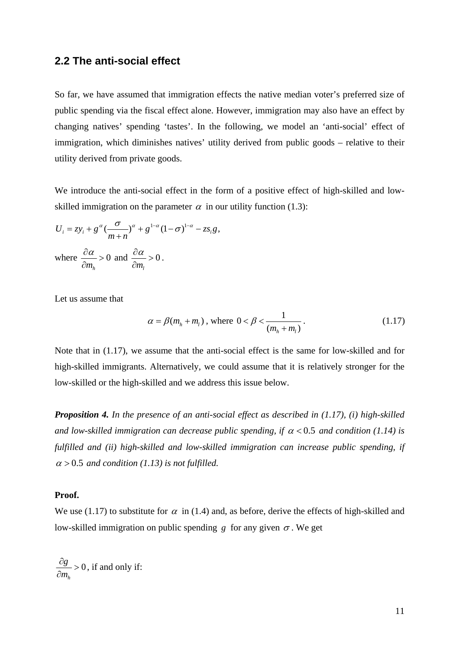#### **2.2 The anti-social effect**

So far, we have assumed that immigration effects the native median voter's preferred size of public spending via the fiscal effect alone. However, immigration may also have an effect by changing natives' spending 'tastes'. In the following, we model an 'anti-social' effect of immigration, which diminishes natives' utility derived from public goods – relative to their utility derived from private goods.

We introduce the anti-social effect in the form of a positive effect of high-skilled and lowskilled immigration on the parameter  $\alpha$  in our utility function (1.3):

$$
U_i = z y_i + g^{\alpha} \left(\frac{\sigma}{m+n}\right)^{\alpha} + g^{1-\alpha} (1-\sigma)^{1-\alpha} - z s_i g,
$$
  
where  $\frac{\partial \alpha}{\partial m_h} > 0$  and  $\frac{\partial \alpha}{\partial m_l} > 0$ .

Let us assume that

$$
\alpha = \beta(m_h + m_l), \text{ where } 0 < \beta < \frac{1}{(m_h + m_l)}.\tag{1.17}
$$

Note that in (1.17), we assume that the anti-social effect is the same for low-skilled and for high-skilled immigrants. Alternatively, we could assume that it is relatively stronger for the low-skilled or the high-skilled and we address this issue below.

*Proposition 4. In the presence of an anti-social effect as described in (1.17), (i) high-skilled and low-skilled immigration can decrease public spending, if* <sup>α</sup> < 0.5 *and condition (1.14) is fulfilled and (ii) high-skilled and low-skilled immigration can increase public spending, if*   $\alpha$  > 0.5 and condition (1.13) is not fulfilled.

#### **Proof.**

We use (1.17) to substitute for  $\alpha$  in (1.4) and, as before, derive the effects of high-skilled and low-skilled immigration on public spending *g* for any given  $\sigma$ . We get

0 *h g m*  $\frac{\partial g}{\partial m_h} > 0$ , if and only if: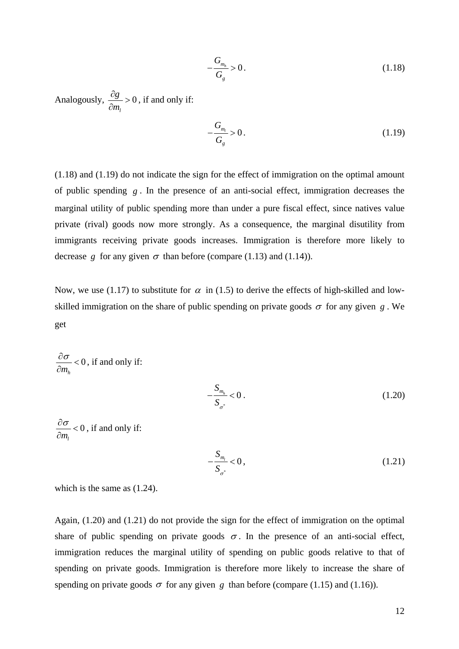$$
-\frac{G_{m_h}}{G_g} > 0.
$$
\n(1.18)

Analogously,  $\frac{0.8}{0.6} > 0$ *l g m*  $\frac{\partial g}{\partial m_1}$  > 0, if and only if:

$$
-\frac{G_{m_l}}{G_g} > 0.
$$
\n(1.19)

(1.18) and (1.19) do not indicate the sign for the effect of immigration on the optimal amount of public spending  $g$ . In the presence of an anti-social effect, immigration decreases the marginal utility of public spending more than under a pure fiscal effect, since natives value private (rival) goods now more strongly. As a consequence, the marginal disutility from immigrants receiving private goods increases. Immigration is therefore more likely to decrease g for any given  $\sigma$  than before (compare (1.13) and (1.14)).

Now, we use (1.17) to substitute for  $\alpha$  in (1.5) to derive the effects of high-skilled and lowskilled immigration on the share of public spending on private goods  $\sigma$  for any given *g*. We get

0 *mh*  $\frac{\partial \sigma}{\partial m_h}$  < 0, if and only if:

$$
-\frac{S_{m_h}}{S_{\sigma^*}} < 0. \tag{1.20}
$$

0 *ml*  $\frac{\partial \sigma}{\partial m_1}$  < 0, if and only if:

$$
-\frac{S_{m_l}}{S_{\sigma^*}} < 0, \tag{1.21}
$$

which is the same as (1.24).

Again, (1.20) and (1.21) do not provide the sign for the effect of immigration on the optimal share of public spending on private goods  $\sigma$ . In the presence of an anti-social effect, immigration reduces the marginal utility of spending on public goods relative to that of spending on private goods. Immigration is therefore more likely to increase the share of spending on private goods  $\sigma$  for any given *g* than before (compare (1.15) and (1.16)).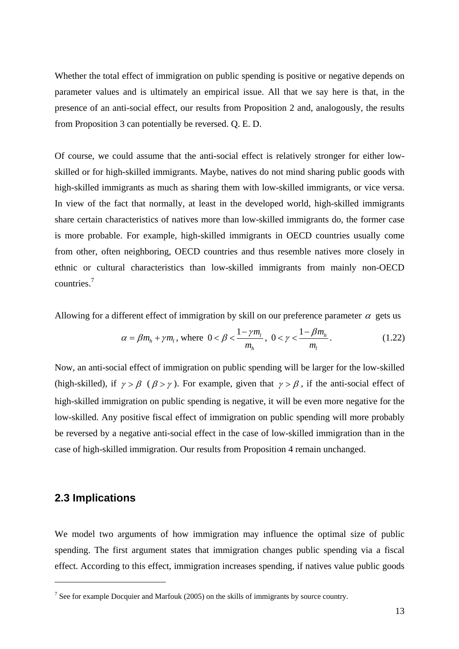Whether the total effect of immigration on public spending is positive or negative depends on parameter values and is ultimately an empirical issue. All that we say here is that, in the presence of an anti-social effect, our results from Proposition 2 and, analogously, the results from Proposition 3 can potentially be reversed. Q. E. D.

Of course, we could assume that the anti-social effect is relatively stronger for either lowskilled or for high-skilled immigrants. Maybe, natives do not mind sharing public goods with high-skilled immigrants as much as sharing them with low-skilled immigrants, or vice versa. In view of the fact that normally, at least in the developed world, high-skilled immigrants share certain characteristics of natives more than low-skilled immigrants do, the former case is more probable. For example, high-skilled immigrants in OECD countries usually come from other, often neighboring, OECD countries and thus resemble natives more closely in ethnic or cultural characteristics than low-skilled immigrants from mainly non-OECD countries.[7](#page-13-0)

Allowing for a different effect of immigration by skill on our preference parameter  $\alpha$  gets us

$$
\alpha = \beta m_h + \gamma m_l, \text{ where } 0 < \beta < \frac{1 - \gamma m_l}{m_h}, \ 0 < \gamma < \frac{1 - \beta m_h}{m_l}. \tag{1.22}
$$

Now, an anti-social effect of immigration on public spending will be larger for the low-skilled (high-skilled), if  $\gamma > \beta$  ( $\beta > \gamma$ ). For example, given that  $\gamma > \beta$ , if the anti-social effect of high-skilled immigration on public spending is negative, it will be even more negative for the low-skilled. Any positive fiscal effect of immigration on public spending will more probably be reversed by a negative anti-social effect in the case of low-skilled immigration than in the case of high-skilled immigration. Our results from Proposition 4 remain unchanged.

## **2.3 Implications**

 $\overline{a}$ 

We model two arguments of how immigration may influence the optimal size of public spending. The first argument states that immigration changes public spending via a fiscal effect. According to this effect, immigration increases spending, if natives value public goods

<span id="page-13-0"></span><sup>&</sup>lt;sup>7</sup> See for example Docquier and Marfouk (2005) on the skills of immigrants by source country.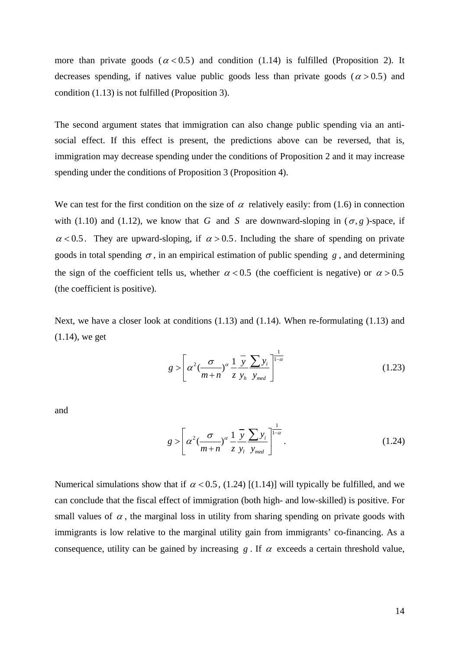more than private goods ( $\alpha$  < 0.5) and condition (1.14) is fulfilled (Proposition 2). It decreases spending, if natives value public goods less than private goods ( $\alpha$  > 0.5) and condition (1.13) is not fulfilled (Proposition 3).

The second argument states that immigration can also change public spending via an antisocial effect. If this effect is present, the predictions above can be reversed, that is, immigration may decrease spending under the conditions of Proposition 2 and it may increase spending under the conditions of Proposition 3 (Proposition 4).

We can test for the first condition on the size of  $\alpha$  relatively easily: from (1.6) in connection with (1.10) and (1.12), we know that *G* and *S* are downward-sloping in  $(\sigma, g)$ -space, if  $\alpha$  < 0.5. They are upward-sloping, if  $\alpha$  > 0.5. Including the share of spending on private goods in total spending  $\sigma$ , in an empirical estimation of public spending *g*, and determining the sign of the coefficient tells us, whether  $\alpha < 0.5$  (the coefficient is negative) or  $\alpha > 0.5$ (the coefficient is positive).

Next, we have a closer look at conditions (1.13) and (1.14). When re-formulating (1.13) and (1.14), we get

$$
g > \left[ \alpha^2 \left( \frac{\sigma}{m+n} \right)^{\alpha} \frac{1}{z} \frac{\overline{y}}{y_h} \frac{\sum y_i}{y_{med}} \right]^{1-\alpha}
$$
 (1.23)

and

$$
g > \left[ \alpha^2 \left( \frac{\sigma}{m+n} \right)^{\alpha} \frac{1}{z} \frac{\overline{y}}{y_l} \frac{\sum y_i}{y_{med}} \right]^{1-\alpha} . \tag{1.24}
$$

Numerical simulations show that if  $\alpha$  < 0.5, (1.24) [(1.14)] will typically be fulfilled, and we can conclude that the fiscal effect of immigration (both high- and low-skilled) is positive. For small values of  $\alpha$ , the marginal loss in utility from sharing spending on private goods with immigrants is low relative to the marginal utility gain from immigrants' co-financing. As a consequence, utility can be gained by increasing  $g$ . If  $\alpha$  exceeds a certain threshold value,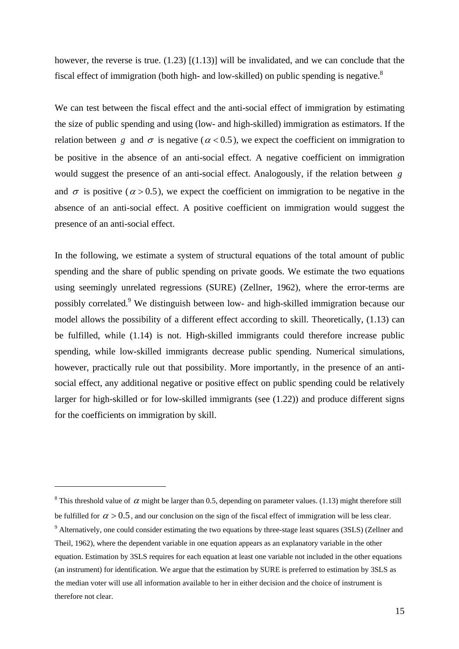however, the reverse is true.  $(1.23)$   $[(1.13)]$  will be invalidated, and we can conclude that the fiscal effect of immigration (both high- and low-skilled) on public spending is negative. $8$ 

We can test between the fiscal effect and the anti-social effect of immigration by estimating the size of public spending and using (low- and high-skilled) immigration as estimators. If the relation between *g* and  $\sigma$  is negative ( $\alpha$  < 0.5), we expect the coefficient on immigration to be positive in the absence of an anti-social effect. A negative coefficient on immigration would suggest the presence of an anti-social effect. Analogously, if the relation between *g* and  $\sigma$  is positive ( $\alpha > 0.5$ ), we expect the coefficient on immigration to be negative in the absence of an anti-social effect. A positive coefficient on immigration would suggest the presence of an anti-social effect.

In the following, we estimate a system of structural equations of the total amount of public spending and the share of public spending on private goods. We estimate the two equations using seemingly unrelated regressions (SURE) (Zellner, 1962), where the error-terms are possibly correlated.<sup>[9](#page-15-1)</sup> We distinguish between low- and high-skilled immigration because our model allows the possibility of a different effect according to skill. Theoretically, (1.13) can be fulfilled, while (1.14) is not. High-skilled immigrants could therefore increase public spending, while low-skilled immigrants decrease public spending. Numerical simulations, however, practically rule out that possibility. More importantly, in the presence of an antisocial effect, any additional negative or positive effect on public spending could be relatively larger for high-skilled or for low-skilled immigrants (see (1.22)) and produce different signs for the coefficients on immigration by skill.

<span id="page-15-1"></span><span id="page-15-0"></span><sup>&</sup>lt;sup>8</sup> This threshold value of  $\alpha$  might be larger than 0.5, depending on parameter values. (1.13) might therefore still be fulfilled for  $\alpha > 0.5$ , and our conclusion on the sign of the fiscal effect of immigration will be less clear. <sup>9</sup> Alternatively, one could consider estimating the two equations by three-stage least squares (3SLS) (Zellner and Theil, 1962), where the dependent variable in one equation appears as an explanatory variable in the other equation. Estimation by 3SLS requires for each equation at least one variable not included in the other equations (an instrument) for identification. We argue that the estimation by SURE is preferred to estimation by 3SLS as the median voter will use all information available to her in either decision and the choice of instrument is therefore not clear.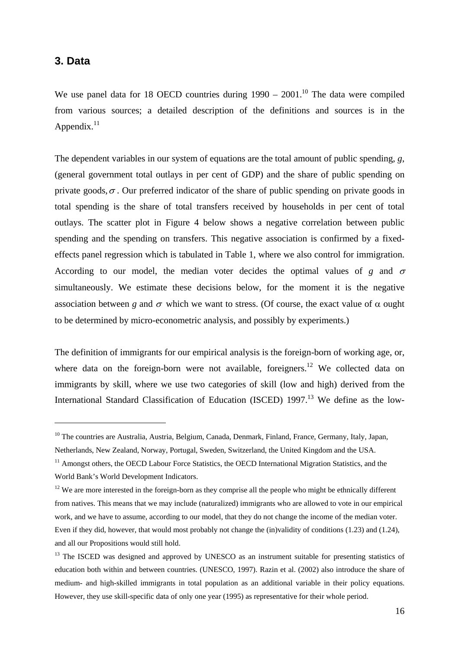## **3. Data**

 $\overline{a}$ 

We use panel data for 18 OECD countries during  $1990 - 2001$ .<sup>10</sup> The data were compiled from various sources; a detailed description of the definitions and sources is in the Appendix. $^{11}$ 

The dependent variables in our system of equations are the total amount of public spending, *g*, (general government total outlays in per cent of GDP) and the share of public spending on private goods,  $\sigma$ . Our preferred indicator of the share of public spending on private goods in total spending is the share of total transfers received by households in per cent of total outlays. The scatter plot in [Figure 4](#page-17-0) below shows a negative correlation between public spending and the spending on transfers. This negative association is confirmed by a fixedeffects panel regression which is tabulated in [Table 1,](#page-25-0) where we also control for immigration. According to our model, the median voter decides the optimal values of *g* and  $\sigma$ simultaneously. We estimate these decisions below, for the moment it is the negative association between *g* and  $\sigma$  which we want to stress. (Of course, the exact value of  $\alpha$  ought to be determined by micro-econometric analysis, and possibly by experiments.)

The definition of immigrants for our empirical analysis is the foreign-born of working age, or, where data on the foreign-born were not available, foreigners.<sup>12</sup> We collected data on immigrants by skill, where we use two categories of skill (low and high) derived from the International Standard Classification of Education (ISCED) 1997.<sup>13</sup> We define as the low-

<span id="page-16-0"></span><sup>&</sup>lt;sup>10</sup> The countries are Australia, Austria, Belgium, Canada, Denmark, Finland, France, Germany, Italy, Japan, Netherlands, New Zealand, Norway, Portugal, Sweden, Switzerland, the United Kingdom and the USA.

<span id="page-16-1"></span> $11$  Amongst others, the OECD Labour Force Statistics, the OECD International Migration Statistics, and the World Bank's World Development Indicators.

<span id="page-16-2"></span> $12$  We are more interested in the foreign-born as they comprise all the people who might be ethnically different from natives. This means that we may include (naturalized) immigrants who are allowed to vote in our empirical work, and we have to assume, according to our model, that they do not change the income of the median voter. Even if they did, however, that would most probably not change the (in)validity of conditions (1.23) and (1.24), and all our Propositions would still hold.

<span id="page-16-3"></span><sup>&</sup>lt;sup>13</sup> The ISCED was designed and approved by UNESCO as an instrument suitable for presenting statistics of education both within and between countries. (UNESCO, 1997). Razin et al. (2002) also introduce the share of medium- and high-skilled immigrants in total population as an additional variable in their policy equations. However, they use skill-specific data of only one year (1995) as representative for their whole period.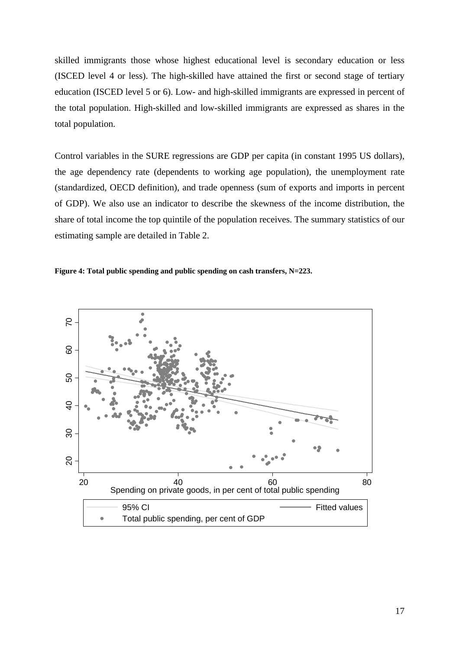skilled immigrants those whose highest educational level is secondary education or less (ISCED level 4 or less). The high-skilled have attained the first or second stage of tertiary education (ISCED level 5 or 6). Low- and high-skilled immigrants are expressed in percent of the total population. High-skilled and low-skilled immigrants are expressed as shares in the total population.

Control variables in the SURE regressions are GDP per capita (in constant 1995 US dollars), the age dependency rate (dependents to working age population), the unemployment rate (standardized, OECD definition), and trade openness (sum of exports and imports in percent of GDP). We also use an indicator to describe the skewness of the income distribution, the share of total income the top quintile of the population receives. The summary statistics of our estimating sample are detailed in [Table 2.](#page-25-1)

<span id="page-17-0"></span>

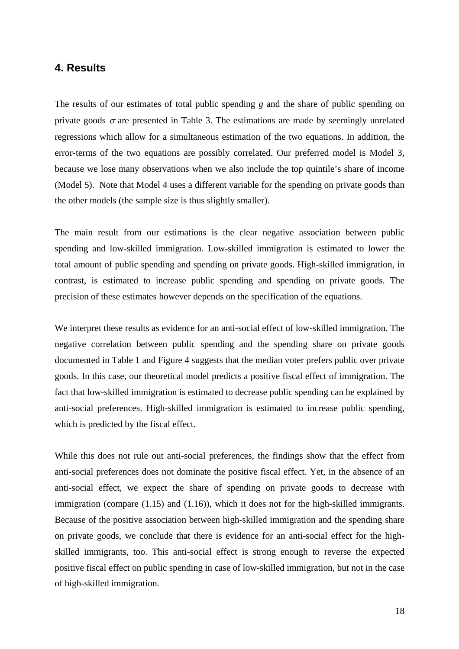#### **4. Results**

The results of our estimates of total public spending *g* and the share of public spending on private goods  $\sigma$  are presented in [Table 3.](#page-26-0) The estimations are made by seemingly unrelated regressions which allow for a simultaneous estimation of the two equations. In addition, the error-terms of the two equations are possibly correlated. Our preferred model is Model 3, because we lose many observations when we also include the top quintile's share of income (Model 5). Note that Model 4 uses a different variable for the spending on private goods than the other models (the sample size is thus slightly smaller).

The main result from our estimations is the clear negative association between public spending and low-skilled immigration. Low-skilled immigration is estimated to lower the total amount of public spending and spending on private goods. High-skilled immigration, in contrast, is estimated to increase public spending and spending on private goods. The precision of these estimates however depends on the specification of the equations.

We interpret these results as evidence for an anti-social effect of low-skilled immigration. The negative correlation between public spending and the spending share on private goods documented in Table 1 and Figure 4 suggests that the median voter prefers public over private goods. In this case, our theoretical model predicts a positive fiscal effect of immigration. The fact that low-skilled immigration is estimated to decrease public spending can be explained by anti-social preferences. High-skilled immigration is estimated to increase public spending, which is predicted by the fiscal effect.

While this does not rule out anti-social preferences, the findings show that the effect from anti-social preferences does not dominate the positive fiscal effect. Yet, in the absence of an anti-social effect, we expect the share of spending on private goods to decrease with immigration (compare (1.15) and (1.16)), which it does not for the high-skilled immigrants. Because of the positive association between high-skilled immigration and the spending share on private goods, we conclude that there is evidence for an anti-social effect for the highskilled immigrants, too. This anti-social effect is strong enough to reverse the expected positive fiscal effect on public spending in case of low-skilled immigration, but not in the case of high-skilled immigration.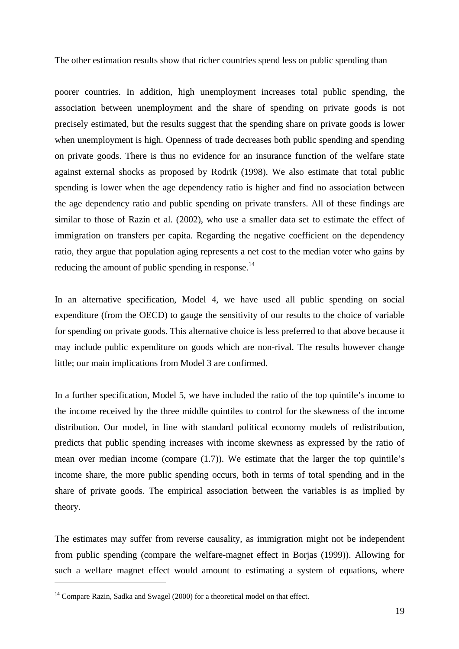The other estimation results show that richer countries spend less on public spending than

poorer countries. In addition, high unemployment increases total public spending, the association between unemployment and the share of spending on private goods is not precisely estimated, but the results suggest that the spending share on private goods is lower when unemployment is high. Openness of trade decreases both public spending and spending on private goods. There is thus no evidence for an insurance function of the welfare state against external shocks as proposed by Rodrik (1998). We also estimate that total public spending is lower when the age dependency ratio is higher and find no association between the age dependency ratio and public spending on private transfers. All of these findings are similar to those of Razin et al. (2002), who use a smaller data set to estimate the effect of immigration on transfers per capita. Regarding the negative coefficient on the dependency ratio, they argue that population aging represents a net cost to the median voter who gains by reducing the amount of public spending in response.<sup>14</sup>

In an alternative specification, Model 4, we have used all public spending on social expenditure (from the OECD) to gauge the sensitivity of our results to the choice of variable for spending on private goods. This alternative choice is less preferred to that above because it may include public expenditure on goods which are non-rival. The results however change little; our main implications from Model 3 are confirmed.

In a further specification, Model 5, we have included the ratio of the top quintile's income to the income received by the three middle quintiles to control for the skewness of the income distribution. Our model, in line with standard political economy models of redistribution, predicts that public spending increases with income skewness as expressed by the ratio of mean over median income (compare (1.7)). We estimate that the larger the top quintile's income share, the more public spending occurs, both in terms of total spending and in the share of private goods. The empirical association between the variables is as implied by theory.

The estimates may suffer from reverse causality, as immigration might not be independent from public spending (compare the welfare-magnet effect in Borjas (1999)). Allowing for such a welfare magnet effect would amount to estimating a system of equations, where

 $\overline{a}$ 

<span id="page-19-0"></span><sup>&</sup>lt;sup>14</sup> Compare Razin, Sadka and Swagel (2000) for a theoretical model on that effect.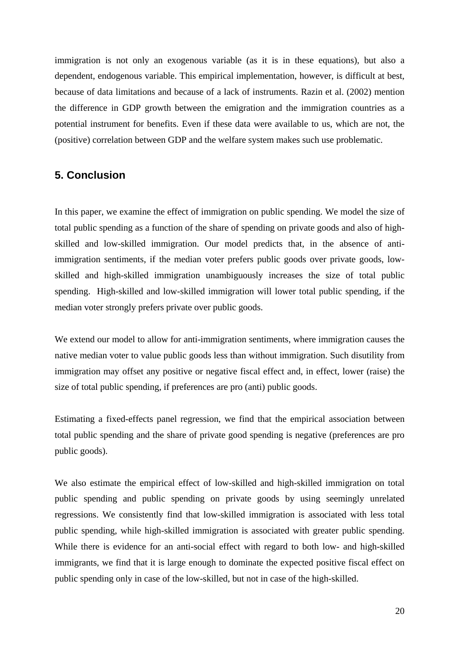immigration is not only an exogenous variable (as it is in these equations), but also a dependent, endogenous variable. This empirical implementation, however, is difficult at best, because of data limitations and because of a lack of instruments. Razin et al. (2002) mention the difference in GDP growth between the emigration and the immigration countries as a potential instrument for benefits. Even if these data were available to us, which are not, the (positive) correlation between GDP and the welfare system makes such use problematic.

## **5. Conclusion**

In this paper, we examine the effect of immigration on public spending. We model the size of total public spending as a function of the share of spending on private goods and also of highskilled and low-skilled immigration. Our model predicts that, in the absence of antiimmigration sentiments, if the median voter prefers public goods over private goods, lowskilled and high-skilled immigration unambiguously increases the size of total public spending. High-skilled and low-skilled immigration will lower total public spending, if the median voter strongly prefers private over public goods.

We extend our model to allow for anti-immigration sentiments, where immigration causes the native median voter to value public goods less than without immigration. Such disutility from immigration may offset any positive or negative fiscal effect and, in effect, lower (raise) the size of total public spending, if preferences are pro (anti) public goods.

Estimating a fixed-effects panel regression, we find that the empirical association between total public spending and the share of private good spending is negative (preferences are pro public goods).

We also estimate the empirical effect of low-skilled and high-skilled immigration on total public spending and public spending on private goods by using seemingly unrelated regressions. We consistently find that low-skilled immigration is associated with less total public spending, while high-skilled immigration is associated with greater public spending. While there is evidence for an anti-social effect with regard to both low- and high-skilled immigrants, we find that it is large enough to dominate the expected positive fiscal effect on public spending only in case of the low-skilled, but not in case of the high-skilled.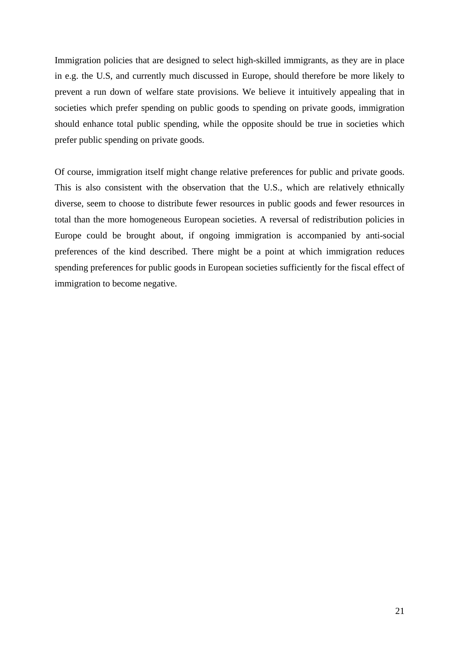Immigration policies that are designed to select high-skilled immigrants, as they are in place in e.g. the U.S, and currently much discussed in Europe, should therefore be more likely to prevent a run down of welfare state provisions. We believe it intuitively appealing that in societies which prefer spending on public goods to spending on private goods, immigration should enhance total public spending, while the opposite should be true in societies which prefer public spending on private goods.

Of course, immigration itself might change relative preferences for public and private goods. This is also consistent with the observation that the U.S., which are relatively ethnically diverse, seem to choose to distribute fewer resources in public goods and fewer resources in total than the more homogeneous European societies. A reversal of redistribution policies in Europe could be brought about, if ongoing immigration is accompanied by anti-social preferences of the kind described. There might be a point at which immigration reduces spending preferences for public goods in European societies sufficiently for the fiscal effect of immigration to become negative.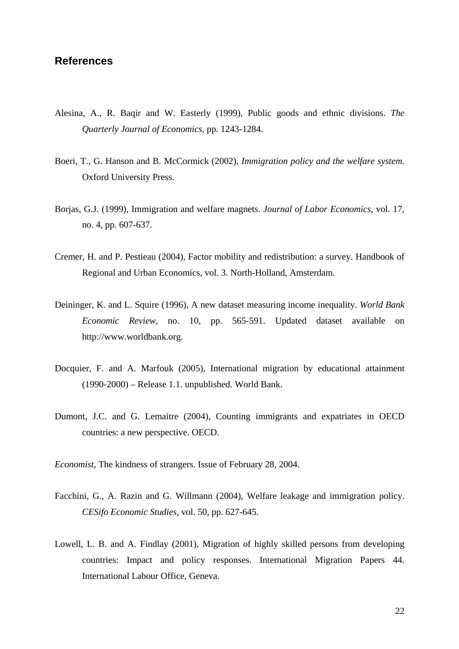#### **References**

- Alesina, A., R. Baqir and W. Easterly (1999), Public goods and ethnic divisions. *The Quarterly Journal of Economics*, pp. 1243-1284.
- Boeri, T., G. Hanson and B. McCormick (2002), *Immigration policy and the welfare system*. Oxford University Press.
- Borjas, G.J. (1999), Immigration and welfare magnets. *Journal of Labor Economics*, vol. 17, no. 4, pp. 607-637.
- Cremer, H. and P. Pestieau (2004), Factor mobility and redistribution: a survey. Handbook of Regional and Urban Economics, vol. 3. North-Holland, Amsterdam.
- Deininger, K. and L. Squire (1996), A new dataset measuring income inequality. *World Bank Economic Review*, no. 10, pp. 565-591. Updated dataset available on http://www.worldbank.org.
- Docquier, F. and A. Marfouk (2005), International migration by educational attainment (1990-2000) – Release 1.1. unpublished. World Bank.
- Dumont, J.C. and G. Lemaitre (2004), Counting immigrants and expatriates in OECD countries: a new perspective. OECD.

*Economist*, The kindness of strangers. Issue of February 28, 2004.

- Facchini, G., A. Razin and G. Willmann (2004), Welfare leakage and immigration policy. *CESifo Economic Studies*, vol. 50, pp. 627-645.
- Lowell, L. B. and A. Findlay (2001), Migration of highly skilled persons from developing countries: Impact and policy responses. International Migration Papers 44. International Labour Office, Geneva.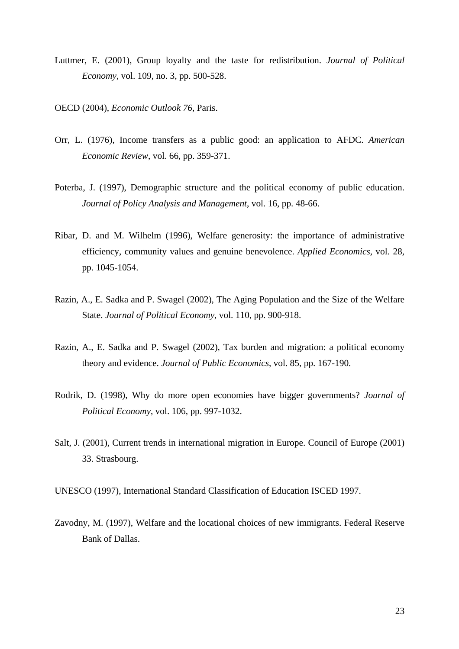- Luttmer, E. (2001), Group loyalty and the taste for redistribution. *Journal of Political Economy*, vol. 109, no. 3, pp. 500-528.
- OECD (2004), *Economic Outlook 76*, Paris.
- Orr, L. (1976), Income transfers as a public good: an application to AFDC. *American Economic Review*, vol. 66, pp. 359-371.
- Poterba, J. (1997), Demographic structure and the political economy of public education. *Journal of Policy Analysis and Management*, vol. 16, pp. 48-66.
- Ribar, D. and M. Wilhelm (1996), Welfare generosity: the importance of administrative efficiency, community values and genuine benevolence. *Applied Economics*, vol. 28, pp. 1045-1054.
- Razin, A., E. Sadka and P. Swagel (2002), The Aging Population and the Size of the Welfare State. *Journal of Political Economy*, vol. 110, pp. 900-918.
- Razin, A., E. Sadka and P. Swagel (2002), Tax burden and migration: a political economy theory and evidence. *Journal of Public Economics*, vol. 85, pp. 167-190.
- Rodrik, D. (1998), Why do more open economies have bigger governments? *Journal of Political Economy*, vol. 106, pp. 997-1032.
- Salt, J. (2001), Current trends in international migration in Europe. Council of Europe (2001) 33. Strasbourg.

UNESCO (1997), International Standard Classification of Education ISCED 1997.

Zavodny, M. (1997), Welfare and the locational choices of new immigrants. Federal Reserve Bank of Dallas.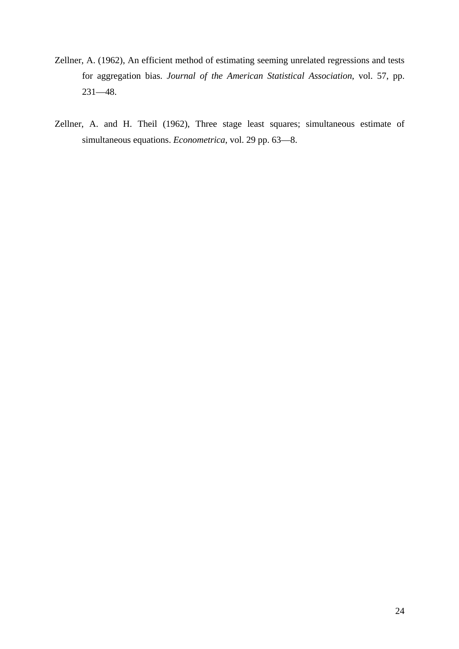- Zellner, A. (1962), An efficient method of estimating seeming unrelated regressions and tests for aggregation bias. *Journal of the American Statistical Association*, vol. 57, pp. 231—48.
- Zellner, A. and H. Theil (1962), Three stage least squares; simultaneous estimate of simultaneous equations. *Econometrica*, vol. 29 pp. 63—8.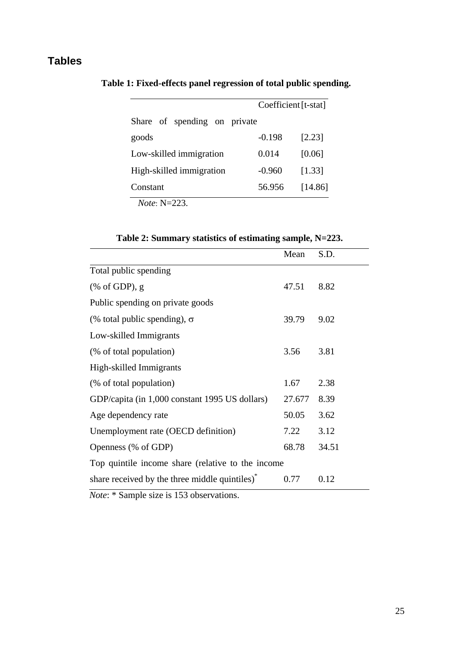## **Tables**

|                                                     |          | Coefficient [t-stat] |  |
|-----------------------------------------------------|----------|----------------------|--|
| Share of spending on private                        |          |                      |  |
| goods                                               | $-0.198$ | [2.23]               |  |
| Low-skilled immigration                             | 0.014    | [0.06]               |  |
| High-skilled immigration                            | $-0.960$ | [1.33]               |  |
| Constant                                            | 56.956   | [14.86]              |  |
| $\mathbf{v}$ $\mathbf{v}$ $\mathbf{v}$ $\mathbf{v}$ |          |                      |  |

<span id="page-25-0"></span>**Table 1: Fixed-effects panel regression of total public spending.** 

*Note*: N=223.

|                                                                    | Mean   | S.D.  |  |  |
|--------------------------------------------------------------------|--------|-------|--|--|
| Total public spending                                              |        |       |  |  |
| $(% \mathcal{L}^{\prime}\mathcal{L}^{\prime\prime})$ (% of GDP), g | 47.51  | 8.82  |  |  |
| Public spending on private goods                                   |        |       |  |  |
| (% total public spending), $\sigma$                                | 39.79  | 9.02  |  |  |
| Low-skilled Immigrants                                             |        |       |  |  |
| (% of total population)                                            | 3.56   | 3.81  |  |  |
| High-skilled Immigrants                                            |        |       |  |  |
| (% of total population)                                            | 1.67   | 2.38  |  |  |
| GDP/capita (in 1,000 constant 1995 US dollars)                     | 27.677 | 8.39  |  |  |
| Age dependency rate                                                | 50.05  | 3.62  |  |  |
| Unemployment rate (OECD definition)                                | 7.22   | 3.12  |  |  |
| Openness (% of GDP)                                                | 68.78  | 34.51 |  |  |
| Top quintile income share (relative to the income                  |        |       |  |  |
| share received by the three middle quintiles) <sup>*</sup>         | 0.77   | 0.12  |  |  |

<span id="page-25-1"></span>**Table 2: Summary statistics of estimating sample, N=223.** 

*Note*: \* Sample size is 153 observations.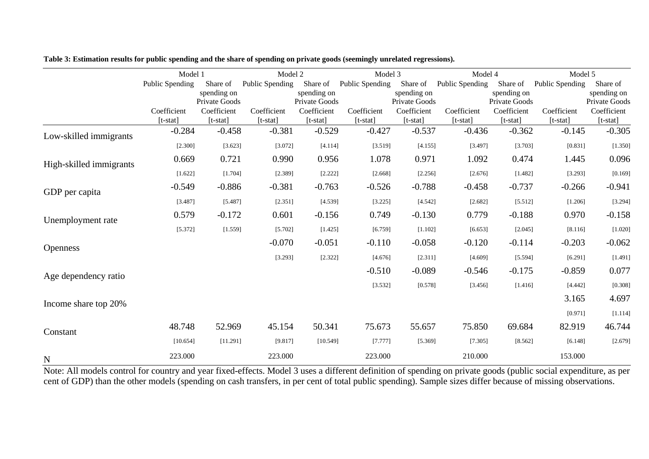|                         | Model 1                 |                              | Model 2                   |                              | Model 3                   |                              | Model 4                   |                              | Model 5                   |                              |
|-------------------------|-------------------------|------------------------------|---------------------------|------------------------------|---------------------------|------------------------------|---------------------------|------------------------------|---------------------------|------------------------------|
|                         | Public Spending         | Share of                     | Public Spending           | Share of                     | Public Spending           | Share of                     | Public Spending           | Share of                     | Public Spending           | Share of                     |
|                         |                         | spending on<br>Private Goods |                           | spending on<br>Private Goods |                           | spending on<br>Private Goods |                           | spending on<br>Private Goods |                           | spending on<br>Private Goods |
|                         | Coefficient<br>[t-stat] | Coefficient<br>$[t-stat]$    | Coefficient<br>$[t-stat]$ | Coefficient<br>$[t-stat]$    | Coefficient<br>$[t-stat]$ | Coefficient<br>$[t-stat]$    | Coefficient<br>$[t-stat]$ | Coefficient<br>$[t-stat]$    | Coefficient<br>$[t-stat]$ | Coefficient<br>$[t-stat]$    |
| Low-skilled immigrants  | $-0.284$                | $-0.458$                     | $-0.381$                  | $-0.529$                     | $-0.427$                  | $-0.537$                     | $-0.436$                  | $-0.362$                     | $-0.145$                  | $-0.305$                     |
|                         | [2.300]                 | [3.623]                      | [3.072]                   | [4.114]                      | [3.519]                   | [4.155]                      | [3.497]                   | [3.703]                      | [0.831]                   | [1.350]                      |
| High-skilled immigrants | 0.669                   | 0.721                        | 0.990                     | 0.956                        | 1.078                     | 0.971                        | 1.092                     | 0.474                        | 1.445                     | 0.096                        |
|                         | [1.622]                 | [1.704]                      | [2.389]                   | [2.222]                      | [2.668]                   | [2.256]                      | [2.676]                   | [1.482]                      | [3.293]                   | [0.169]                      |
| GDP per capita          | $-0.549$                | $-0.886$                     | $-0.381$                  | $-0.763$                     | $-0.526$                  | $-0.788$                     | $-0.458$                  | $-0.737$                     | $-0.266$                  | $-0.941$                     |
|                         | [3.487]                 | [5.487]                      | [2.351]                   | [4.539]                      | [3.225]                   | [4.542]                      | [2.682]                   | [5.512]                      | [1.206]                   | [3.294]                      |
| Unemployment rate       | 0.579                   | $-0.172$                     | 0.601                     | $-0.156$                     | 0.749                     | $-0.130$                     | 0.779                     | $-0.188$                     | 0.970                     | $-0.158$                     |
|                         | [5.372]                 | [1.559]                      | [5.702]                   | [1.425]                      | [6.759]                   | [1.102]                      | [6.653]                   | [2.045]                      | [8.116]                   | [1.020]                      |
| <b>Openness</b>         |                         |                              | $-0.070$                  | $-0.051$                     | $-0.110$                  | $-0.058$                     | $-0.120$                  | $-0.114$                     | $-0.203$                  | $-0.062$                     |
|                         |                         |                              | [3.293]                   | [2.322]                      | [4.676]                   | [2.311]                      | [4.609]                   | [5.594]                      | [6.291]                   | [1.491]                      |
| Age dependency ratio    |                         |                              |                           |                              | $-0.510$                  | $-0.089$                     | $-0.546$                  | $-0.175$                     | $-0.859$                  | 0.077                        |
|                         |                         |                              |                           |                              | [3.532]                   | [0.578]                      | [3.456]                   | [1.416]                      | [4.442]                   | [0.308]                      |
| Income share top 20%    |                         |                              |                           |                              |                           |                              |                           |                              | 3.165                     | 4.697                        |
|                         |                         |                              |                           |                              |                           |                              |                           |                              | [0.971]                   | [1.114]                      |
| Constant                | 48.748                  | 52.969                       | 45.154                    | 50.341                       | 75.673                    | 55.657                       | 75.850                    | 69.684                       | 82.919                    | 46.744                       |
|                         | [10.654]                | [11.291]                     | [9.817]                   | [10.549]                     | [7.777]                   | [5.369]                      | [7.305]                   | [8.562]                      | [6.148]                   | [2.679]                      |
| N                       | 223.000                 |                              | 223.000                   |                              | 223.000                   |                              | 210.000                   |                              | 153.000                   |                              |

| Table 3: Estimation results for public spending and the share of spending on private goods (seemingly unrelated regressions). |  |  |  |  |
|-------------------------------------------------------------------------------------------------------------------------------|--|--|--|--|
|-------------------------------------------------------------------------------------------------------------------------------|--|--|--|--|

<span id="page-26-0"></span>Note: All models control for country and year fixed-effects. Model 3 uses a different definition of spending on private goods (public social expenditure, as per cent of GDP) than the other models (spending on cash transfers, in per cent of total public spending). Sample sizes differ because of missing observations.